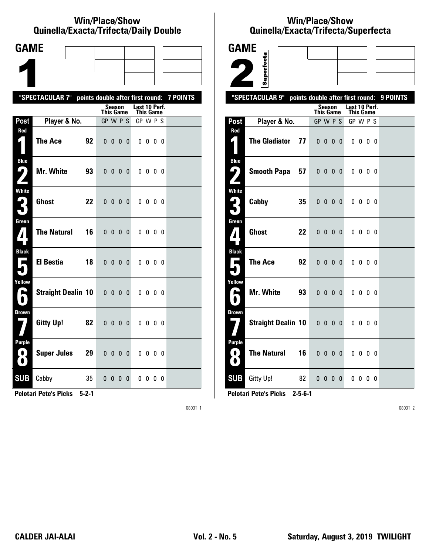#### **Win/Place/Show Qui nel la/Exacta/Tri fecta/Daily Dou ble**

| <b>GAME</b>                                 |                           |    |                                  |                   |     |              |                            |                          |  |                 |
|---------------------------------------------|---------------------------|----|----------------------------------|-------------------|-----|--------------|----------------------------|--------------------------|--|-----------------|
|                                             |                           |    |                                  |                   |     |              |                            |                          |  |                 |
|                                             |                           |    |                                  |                   |     |              |                            |                          |  |                 |
|                                             | "SPECTACULAR 7"           |    | points double after first round: |                   |     |              |                            |                          |  | <b>7 POINTS</b> |
|                                             |                           |    | This Game                        | Season            |     |              | Last 10 Perf.<br>This Game |                          |  |                 |
| Post                                        | Player & No.              |    | GP W P S                         |                   |     |              | GP W P S                   |                          |  |                 |
| Red                                         | <b>The Ace</b>            | 92 |                                  | $0\quad 0\quad 0$ |     | $\bf{0}$     |                            | $0\,0\,0\,0$             |  |                 |
| <b>Blue</b><br>7<br>$\overline{\mathbf{A}}$ | <b>Mr. White</b>          | 93 | 0 <sub>0</sub>                   |                   | 0   | - 0          |                            | $0\,0\,0\,0$             |  |                 |
| White<br>3                                  | <b>Ghost</b>              | 22 | 0 <sub>0</sub>                   |                   | - 0 | $\mathbf{0}$ |                            | $0\,0\,0\,0$             |  |                 |
| Green<br>$\mathbf{Z}$                       | <b>The Natural</b>        | 16 |                                  | $0\ 0\ 0\ 0$      |     |              |                            | $0\,0\,0\,0$             |  |                 |
| <b>Black</b><br>$\overline{\phantom{0}}$    | <b>El Bestia</b>          | 18 |                                  | $0\ 0\ 0\ 0$      |     |              |                            | $0\,0\,0\,0$             |  |                 |
| Yellow<br>H                                 | <b>Straight Dealin 10</b> |    | 0 <sub>0</sub>                   |                   | 0   | 0            |                            | $0\,0\,0\,0$             |  |                 |
| <b>Brown</b>                                | <b>Gitty Up!</b>          | 82 |                                  | 0000              |     |              |                            | $0\,0\,0\,0$             |  |                 |
| <b>Purple</b><br>0)<br>$\bullet$            | <b>Super Jules</b>        | 29 |                                  | $0\quad 0\quad 0$ |     | $\mathbf{0}$ |                            | $0\quad 0\quad 0\quad 0$ |  |                 |
| <b>SUB</b>                                  | Cabby                     | 35 |                                  | 000               |     | 0            |                            | 0000                     |  |                 |

**Pelotari Pete's Picks 5-2-1**

0803T 1

# **Win/Place/Show Qui nel la/Exacta/Tri fecta/Super fecta**

| <b>GAME</b>                                        |                           |    |                                  |                               |  |                                   |                          |  |          |
|----------------------------------------------------|---------------------------|----|----------------------------------|-------------------------------|--|-----------------------------------|--------------------------|--|----------|
|                                                    |                           |    |                                  |                               |  |                                   |                          |  |          |
|                                                    | Superfecta                |    |                                  |                               |  |                                   |                          |  |          |
|                                                    | "SPECTACULAR 9"           |    | points double after first round: |                               |  |                                   |                          |  | 9 POINTS |
|                                                    |                           |    | <b>This Game</b>                 | Season                        |  | Last 10 Perf.<br><b>This Game</b> |                          |  |          |
| Post                                               | Player & No.              |    | GP W P S                         |                               |  | GP W P S                          |                          |  |          |
| Red<br>$\mathbf{z}$ 1                              | <b>The Gladiator</b>      | 77 |                                  | $0\quad 0\quad 0\quad 0$      |  |                                   | $0\,0\,0\,0$             |  |          |
|                                                    |                           |    |                                  |                               |  |                                   |                          |  |          |
| <b>Blue</b><br>ر ما                                | <b>Smooth Papa</b>        | 57 |                                  | $0\quad 0\quad 0\quad 0$      |  |                                   | $0\quad 0\quad 0\quad 0$ |  |          |
| <b>White</b><br>$\mathbf{\mathsf{L}}_{\mathsf{L}}$ | Cabby                     | 35 |                                  | $0\quad 0\quad 0\quad 0\quad$ |  |                                   | $0\,0\,0\,0$             |  |          |
| Green<br>$\bf{7}$                                  | <b>Ghost</b>              | 22 |                                  | $0\,0\,0\,0$                  |  |                                   | $0\,0\,0\,0$             |  |          |
| <b>Black</b><br>П                                  | <b>The Ace</b>            | 92 |                                  | $0\quad 0\quad 0\quad 0$      |  |                                   | $0\,0\,0\,0$             |  |          |
| Yellow<br>بم                                       | <b>Mr. White</b>          | 93 |                                  | $0\quad 0\quad 0\quad 0$      |  |                                   | $0\,0\,0\,0$             |  |          |
| <b>Brown</b>                                       | <b>Straight Dealin 10</b> |    | $0\quad 0\quad 0\quad 0$         |                               |  |                                   | $0\,0\,0\,0$             |  |          |
| <b>Purple</b><br>0<br>O.                           | <b>The Natural</b>        | 16 |                                  | $0\quad 0\quad 0\quad 0\quad$ |  |                                   | $0\,0\,0\,0$             |  |          |
| <b>SUB</b>                                         | Gitty Up!                 | 82 |                                  | $0\,0\,0\,0$                  |  |                                   | $0\,0\,0\,0$             |  |          |

**Pelotari Pete's Picks 2-5-6-1**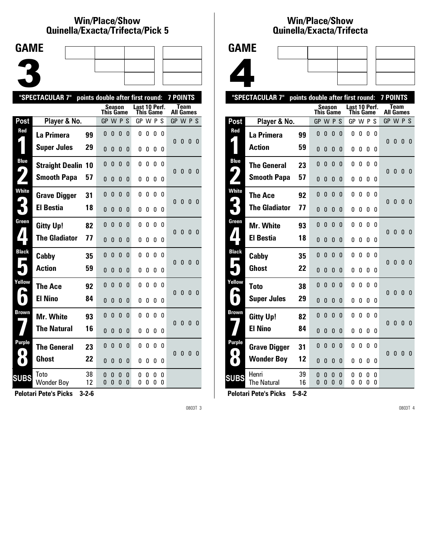### **Win/Place/Show Qui nel la/Exacta/Tri fecta/Pick 5**



|                     | "SPECTACULAR 7"           |          | points double after first round: |              |               |        |                            |        |          |          | <b>7 POINTS</b> |              |              |              |
|---------------------|---------------------------|----------|----------------------------------|--------------|---------------|--------|----------------------------|--------|----------|----------|-----------------|--------------|--------------|--------------|
|                     |                           |          | This Game                        |              | <b>Season</b> |        | Last 10 Perf.<br>This Game |        |          |          | All Games       | Team         |              |              |
| Post                | Player & No.              |          | GP W P S                         |              |               |        | GP W P S                   |        |          |          | GP W P S        |              |              |              |
| Red                 | La Primera                | 99       | 0                                | 0            | 0             | 0      | 0                          | 0      | 0        | $\Omega$ |                 |              |              |              |
|                     | <b>Super Jules</b>        | 29       | $\Omega$                         | $\mathbf{0}$ | 0             | 0      | 0                          | 0      | 0        | 0        | 0               | 0            | 0            | $\mathbf{0}$ |
| <b>Blue</b>         | <b>Straight Dealin</b>    | 10       | 0                                | 0            | 0             | 0      | 0                          | 0      | 0        | 0        |                 |              |              |              |
|                     | <b>Smooth Papa</b>        | 57       | $\Omega$                         | $\Omega$     | 0             | 0      | 0                          | 0      | 0        | 0        | 0               | 0            | 0            | $\Omega$     |
| <b>White</b>        | <b>Grave Digger</b>       | 31       | 0                                | 0            | 0             | 0      | 0                          | 0      | 0        | 0        | $\Omega$        | 0            | $\mathbf{0}$ | $\mathbf{0}$ |
|                     | <b>El Bestia</b>          | 18       | 0                                | 0            | 0             | 0      | 0                          | 0      | 0        | 0        |                 |              |              |              |
| Green               | <b>Gitty Up!</b>          | 82       | 0                                | $\mathbf{0}$ | $\mathbf{0}$  | 0      | 0                          | 0      | 0        | $\Omega$ | 0               | $\mathbf{0}$ | 0            | $\Omega$     |
| 7                   | <b>The Gladiator</b>      | 77       | 0                                | 0            | 0             | 0      | 0                          | 0      | 0        | 0        |                 |              |              |              |
| <b>Black</b>        | Cabby                     | 35       | 0                                | 0            | 0             | 0      | 0                          | 0      | 0        | 0        | U               | $\mathbf{0}$ | $\mathbf{0}$ | $\Omega$     |
|                     | <b>Action</b>             | 59       | 0                                | 0            | 0             | 0      | 0                          | 0      | 0        | 0        |                 |              |              |              |
| Yellow              | The Ace                   | 92       | 0                                | $\Omega$     | 0             | 0      | 0                          | 0      | $\Omega$ | 0        | 0               | $\mathbf{0}$ | $\mathbf{0}$ | $\Omega$     |
|                     | <b>El Nino</b>            | 84       | $\Omega$                         | 0            | 0             | N      | 0                          | 0      | 0        | 0        |                 |              |              |              |
| Brown               | <b>Mr. White</b>          | 93       | 0                                | 0            | 0             | 0      | 0                          | 0      | 0        | 0        | U               | 0            | $\mathbf{0}$ | $\Omega$     |
|                     | <b>The Natural</b>        | 16       | 0                                | 0            | 0             | 0      | 0                          | 0      | 0        | 0        |                 |              |              |              |
| Purple<br>$\bullet$ | <b>The General</b>        | 23       | $\Omega$                         | 0            | 0             | 0      | 0                          | 0      | 0        | 0        | $\Omega$        | $\mathbf{0}$ | $\mathbf{0}$ | $\mathbf{0}$ |
| $\bullet$           | Ghost                     | 22       | 0                                | 0            | 0             | 0      | 0                          | 0      | 0        | 0        |                 |              |              |              |
| <b>SUBS</b>         | Toto<br><b>Wonder Boy</b> | 38<br>12 | 0<br>0                           | 0<br>N       | 0<br>0        | 0<br>N | 0<br>n                     | 0<br>0 | 0<br>0   | 0<br>0   |                 |              |              |              |
|                     |                           |          |                                  |              |               |        |                            |        |          |          |                 |              |              |              |

**Pelotari Pete's Picks 3-2-6**

0803T 3

### **Win/Place/Show Qui nel la/Exacta/Tri fecta**



|                            | "SPECTACULAR 7"             | points double after first round: |           |              |               |          |               |           |              |          | <b>7 POINTS</b> |              |              |                |
|----------------------------|-----------------------------|----------------------------------|-----------|--------------|---------------|----------|---------------|-----------|--------------|----------|-----------------|--------------|--------------|----------------|
|                            |                             |                                  | This Game | Season       |               |          | Last 10 Perf. | This Game |              |          | All Games       | <b>Team</b>  |              |                |
| <b>Post</b>                | Player & No.                |                                  | GP        |              | WPS           |          | GPWPS         |           |              |          | GP W P S        |              |              |                |
| Red                        | La Primera                  | 99                               | 0         | 0            | 0             | 0        | 0             | 0         | 0            | 0        | 0               | $\mathbf{0}$ | $\mathbf{0}$ | $\overline{0}$ |
|                            | <b>Action</b>               | 59                               | $\Omega$  | 0            | 0             | 0        | 0             | 0         | 0            | 0        |                 |              |              |                |
| <b>Blue</b>                | <b>The General</b>          | 23                               | $\Omega$  | $\mathbf{0}$ | $\mathbf{0}$  | $\Omega$ | 0             | 0         | $\mathbf{0}$ | $\Omega$ |                 |              |              |                |
| 4                          | <b>Smooth Papa</b>          | 57                               | $\Omega$  | 0            | 0             | 0        | 0             | 0         | 0            | 0        | 0               | 0            | $\bf{0}$     | -0             |
| <b>White</b>               | <b>The Ace</b>              | 92                               | $\Omega$  | 0            | $\mathbf{0}$  | 0        | 0             | 0         | 0            | 0        | 0               | $\bf{0}$     | $\mathbf{0}$ | - 0            |
|                            | <b>The Gladiator</b>        | 77                               | $\Omega$  | 0            | 0             | 0        | 0             | 0         | 0            | 0        |                 |              |              |                |
| Green                      | <b>Mr. White</b>            | 93                               | 0         | 0            | 0             | 0        | 0             | 0         | 0            | n        | 0               | 0            | $\mathbf{0}$ | 0              |
| $\blacktriangle$           | <b>El Bestia</b>            | 18                               | 0         | 0            | 0             | 0        | 0             | 0         | 0            | 0        |                 |              |              |                |
| <b>Black</b><br>Ι.         | Cabby                       | 35                               | 0         | $\mathbf{0}$ | $\mathbf{0}$  | 0        | 0             | 0         | 0            | 0        | 0               | $\mathbf{0}$ | $\mathbf{0}$ | $\mathbf{0}$   |
|                            | <b>Ghost</b>                | 22                               | 0         | 0            | 0             | 0        | 0             | 0         | 0            | 0        |                 |              |              |                |
| Yellow                     | <b>Toto</b>                 | 38                               | 0         | 0            | $\mathbf{0}$  | 0        | 0             | 0         | 0            | 0        | $\Omega$        | $\mathbf{0}$ | $\mathbf{0}$ | 0              |
| $\blacksquare$             | <b>Super Jules</b>          | 29                               | 0         | 0            | 0             | 0        | 0             | 0         | 0            | 0        |                 |              |              |                |
| Brown                      | <b>Gitty Up!</b>            | 82                               | 0         | $\mathbf{0}$ | $\mathbf{0}$  | 0        | 0             | 0         | 0            | 0        | 0               | $\mathbf{0}$ | $\mathbf{0}$ | $\overline{0}$ |
|                            | <b>El Nino</b>              | 84                               | $\Omega$  | 0            | 0             | 0        | 0             | 0         | 0            | 0        |                 |              |              |                |
| <b>Purple</b><br>$\bullet$ | <b>Grave Digger</b>         | 31                               | 0         | 0            | 0             | 0        | 0             | 0         | 0            | 0        | 0               | $\bf{0}$     | $\mathbf{0}$ | - 0            |
| $\bullet$                  | <b>Wonder Boy</b>           | 12                               | 0         | 0            | $\Omega$      | 0        | 0             | 0         | 0            | 0        |                 |              |              |                |
| <b>SUBS</b>                | Henri<br><b>The Natural</b> | 39<br>16                         | 0<br>O    | 0<br>0       | $\Omega$<br>0 | 0<br>0   | 0<br>0        | 0<br>0    | 0<br>0       | 0<br>0   |                 |              |              |                |
|                            |                             |                                  |           |              |               |          |               |           |              |          |                 |              |              |                |

**Pelotari Pete's Picks 5-8-2**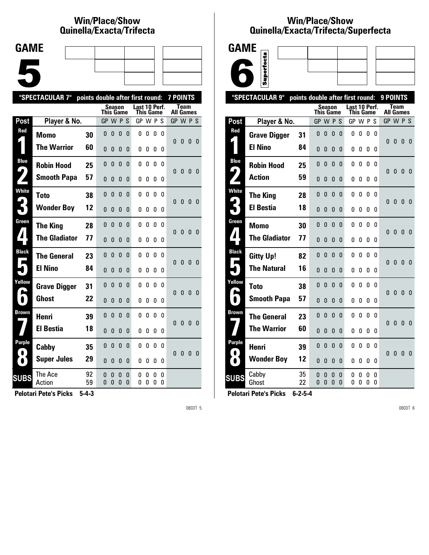## **Win/Place/Show Qui nel la/Exacta/Tri fecta**

| <b>GAME</b> |  |  |
|-------------|--|--|
|             |  |  |
|             |  |  |
|             |  |  |
|             |  |  |
|             |  |  |

|              | "SPECTACULAR 7"      | points double after first round: |              |               |               |          |                            |        |        |          | <b>7 POINTS</b>  |              |              |                         |
|--------------|----------------------|----------------------------------|--------------|---------------|---------------|----------|----------------------------|--------|--------|----------|------------------|--------------|--------------|-------------------------|
|              |                      |                                  | This Game    | Season        |               |          | Last 10 Perf.<br>This Game |        |        |          | <b>All Games</b> | <b>Team</b>  |              |                         |
| Post         | Player & No.         |                                  | GP W P S     |               |               |          | GP W P S                   |        |        |          | GP W P S         |              |              |                         |
| Red          | Momo                 | 30                               | 0            | 0             | 0             | 0        | 0                          | 0      | 0      | 0        |                  |              |              |                         |
|              | <b>The Warrior</b>   | 60                               | $\mathbf{0}$ | 0             | 0             | 0        | 0                          | 0      | 0      | 0        | 0                | 0            | 0            | - 0                     |
| <b>Blue</b>  | <b>Robin Hood</b>    | 25                               | 0            | 0             | 0             | 0        | 0                          | 0      | 0      | 0        | 0                | $\mathbf{0}$ |              |                         |
|              | <b>Smooth Papa</b>   | 57                               | $\mathbf{0}$ | 0             | 0             | 0        | 0                          | 0      | 0      | 0        |                  |              | $\mathbf{0}$ | - 0                     |
| <b>White</b> | Toto                 | 38                               | 0            | 0             | 0             | 0        | 0                          | 0      | 0      | 0        | 0                | 0            | $\mathbf{0}$ | - 0                     |
|              | <b>Wonder Boy</b>    | 12                               | 0            | $\Omega$      | $\mathbf{0}$  | 0        | 0                          | 0      | 0      | 0        |                  |              |              |                         |
| Green        | <b>The King</b>      | 28                               | $\mathbf{0}$ | $\mathbf{0}$  | 0             | $\Omega$ | 0                          | 0      | 0      | $\Omega$ | 0                | $\mathbf{0}$ | $\mathbf{0}$ | - 0                     |
|              | <b>The Gladiator</b> | 77                               | $\mathbf{0}$ | 0             | 0             | 0        | 0                          | 0      | 0      | 0        |                  |              |              |                         |
| <b>Black</b> | <b>The General</b>   | 23                               | 0            | 0             | $\mathbf{0}$  | 0        | 0                          | 0      | 0      | 0        | 0                | 0            | $\mathbf{0}$ | 0                       |
|              | <b>El Nino</b>       | 84                               | $\mathbf{0}$ | $\Omega$      | 0             | $\Omega$ | 0                          | 0      | 0      | 0        |                  |              |              |                         |
| Yellow       | <b>Grave Digger</b>  | 31                               | $\mathbf{0}$ | $\mathbf{0}$  | 0             | $\Omega$ | 0                          | 0      | 0      | 0        | 0                | $\bf{0}$     | $\mathbf{0}$ | 0                       |
| $\bullet$    | Ghost                | 22                               | $\mathbf{0}$ | $\mathbf{0}$  | 0             | 0        | 0                          | 0      | 0      | 0        |                  |              |              |                         |
| <b>Brown</b> | <b>Henri</b>         | 39                               | 0            | $\mathbf{0}$  | $\mathbf{0}$  | $\Omega$ | 0                          | 0      | 0      | 0        | $\Omega$         | $\mathbf{0}$ | 0            | - 0                     |
|              | <b>El Bestia</b>     | 18                               | $\Omega$     | $\Omega$      | $\mathbf{0}$  | $\Omega$ | 0                          | 0      | 0      | 0        |                  |              |              |                         |
| Purple       | Cabby                | 35                               | $\Omega$     | $\mathbf{0}$  | $\mathbf{0}$  | $\Omega$ | 0                          | 0      | 0      | 0        | $\Omega$         | 0            | 0            | $\overline{\mathbf{0}}$ |
| $\bullet$    | <b>Super Jules</b>   | 29                               | $\mathbf{0}$ | 0             | 0             | 0        | 0                          | 0      | 0      | 0        |                  |              |              |                         |
| <b>SUBS</b>  | The Ace              | 92<br>59                         | 0<br>0       | 0<br>$\Omega$ | 0<br>$\Omega$ | 0<br>0   | 0<br>0                     | 0<br>0 | 0<br>0 | 0<br>0   |                  |              |              |                         |
|              | Action               |                                  |              |               |               |          |                            |        |        |          |                  |              |              |                         |

**Pelotari Pete's Picks 5-4-3**

0803T 5

#### **Win/Place/Show Qui nel la/Exacta/Tri fecta/Super fecta**



|                            | "SPECTACULAR 9"      | points double after first round: |           |              |                   |          |               |           |          |              | 9 POINTS         |              |              |                |
|----------------------------|----------------------|----------------------------------|-----------|--------------|-------------------|----------|---------------|-----------|----------|--------------|------------------|--------------|--------------|----------------|
|                            |                      |                                  | This Game | Season       |                   |          | Last 10 Perf. | This Game |          |              | <b>All Games</b> | Team         |              |                |
| <b>Post</b>                | Player & No.         |                                  | GP        | W P          |                   | -S       | GP            | W P       |          | S            | GP W P S         |              |              |                |
| Red                        | <b>Grave Digger</b>  | 31                               | $\Omega$  | 0            | $\mathbf{0}$      | $\Omega$ | 0             | 0         | $\Omega$ | $\Omega$     | 0                | 0            | 0            | 0              |
|                            | <b>El Nino</b>       | 84                               | 0         | 0            | 0                 | 0        | 0             | 0         | 0        | 0            |                  |              |              |                |
| <b>Blue</b>                | <b>Robin Hood</b>    | 25                               | $\Omega$  | $\mathbf{0}$ | $\mathbf{0}$      | 0        | 0             | 0         | 0        | 0            | 0                | $\mathbf{0}$ | $\mathbf{0}$ | $\overline{0}$ |
| 9                          | <b>Action</b>        | 59                               | 0         | 0            | 0                 | 0        | 0             | 0         | 0        | 0            |                  |              |              |                |
| <b>White</b>               | <b>The King</b>      | 28                               | 0         | $\mathbf{0}$ | $\mathbf{0}$      | 0        | 0             | 0         | 0        | 0            | $\Omega$         | $\mathbf{0}$ | $\mathbf{0}$ | $\overline{0}$ |
| 3                          | <b>El Bestia</b>     | 18                               | $\Omega$  | 0            | $\Omega$          | 0        | 0             | 0         | 0        | 0            |                  |              |              |                |
| Green                      | Momo                 | 30                               | 0         | $\mathbf{0}$ | $\mathbf{0}$      | 0        | 0             | 0         | 0        | $\Omega$     | $\Omega$         | $\mathbf{0}$ | 0            | $\overline{0}$ |
| $\blacktriangle$           | <b>The Gladiator</b> | 77                               | 0         | 0            | 0                 | 0        | 0             | 0         | 0        | 0            |                  |              |              |                |
| <b>Black</b><br>Е          | <b>Gitty Up!</b>     | 82                               | $\Omega$  | 0            | 0                 | $\Omega$ | 0             | 0         | 0        | $\mathbf{0}$ | 0                | $\bf{0}$     | $\mathbf{0}$ | 0              |
|                            | <b>The Natural</b>   | 16                               | 0         | 0            | 0                 | 0        | 0             | 0         | 0        | 0            |                  |              |              |                |
| Yellow<br>r.               | <b>Toto</b>          | 38                               | 0         | 0            | 0                 | 0        | 0             | 0         | 0        | 0            | $\Omega$         | 0            | $\mathbf{0}$ | $\Omega$       |
| I                          | <b>Smooth Papa</b>   | 57                               | 0         | 0            | 0                 | 0        | 0             | 0         | 0        | 0            |                  |              |              |                |
| Brown                      | <b>The General</b>   | 23                               | 0         | 0            | $\mathbf{0}$      | 0        | 0             | 0         | 0        | 0            | $\Omega$         | $\mathbf{0}$ | $\mathbf{0}$ | $\mathbf{0}$   |
|                            | <b>The Warrior</b>   | 60                               | $\Omega$  | 0            | 0                 | 0        | 0             | 0         | 0        | 0            |                  |              |              |                |
| <b>Purple</b><br>$\bullet$ | Henri                | 39                               | 0         | 0            | 0                 | 0        | 0             | 0         | 0        | 0            | 0                | $\bf{0}$     | $\mathbf{0}$ | - 0            |
| $\bullet$                  | <b>Wonder Boy</b>    | 12                               | 0         | 0            | 0                 | 0        | 0             | 0         | 0        | 0            |                  |              |              |                |
| <b>SUBS</b>                | Cabby<br>Ghost       | 35<br>22                         | 0<br>0    | 0<br>0       | 0<br>$\mathbf{0}$ | 0<br>0   | 0<br>0        | 0<br>0    | 0<br>0   | 0<br>0       |                  |              |              |                |
|                            |                      |                                  |           |              |                   |          |               |           |          |              |                  |              |              |                |

**Pelotari Pete's Picks 6-2-5-4**